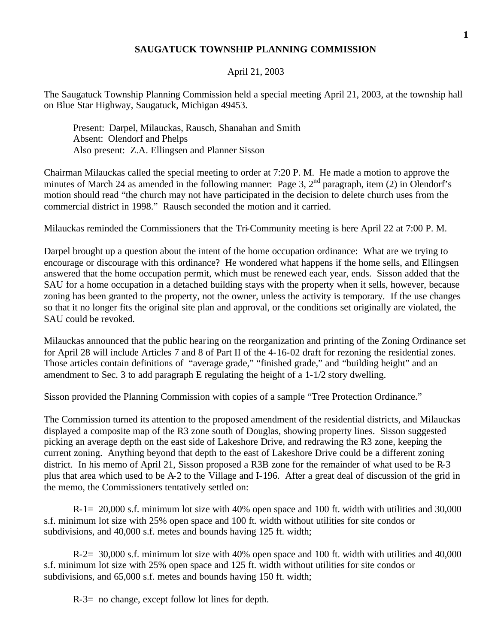## **SAUGATUCK TOWNSHIP PLANNING COMMISSION**

## April 21, 2003

The Saugatuck Township Planning Commission held a special meeting April 21, 2003, at the township hall on Blue Star Highway, Saugatuck, Michigan 49453.

Present: Darpel, Milauckas, Rausch, Shanahan and Smith Absent: Olendorf and Phelps Also present: Z.A. Ellingsen and Planner Sisson

Chairman Milauckas called the special meeting to order at 7:20 P. M. He made a motion to approve the minutes of March 24 as amended in the following manner: Page 3, 2<sup>nd</sup> paragraph, item (2) in Olendorf's motion should read "the church may not have participated in the decision to delete church uses from the commercial district in 1998." Rausch seconded the motion and it carried.

Milauckas reminded the Commissioners that the Tri-Community meeting is here April 22 at 7:00 P. M.

Darpel brought up a question about the intent of the home occupation ordinance: What are we trying to encourage or discourage with this ordinance? He wondered what happens if the home sells, and Ellingsen answered that the home occupation permit, which must be renewed each year, ends. Sisson added that the SAU for a home occupation in a detached building stays with the property when it sells, however, because zoning has been granted to the property, not the owner, unless the activity is temporary. If the use changes so that it no longer fits the original site plan and approval, or the conditions set originally are violated, the SAU could be revoked.

Milauckas announced that the public hearing on the reorganization and printing of the Zoning Ordinance set for April 28 will include Articles 7 and 8 of Part II of the 4-16-02 draft for rezoning the residential zones. Those articles contain definitions of "average grade," "finished grade," and "building height" and an amendment to Sec. 3 to add paragraph E regulating the height of a 1-1/2 story dwelling.

Sisson provided the Planning Commission with copies of a sample "Tree Protection Ordinance."

The Commission turned its attention to the proposed amendment of the residential districts, and Milauckas displayed a composite map of the R3 zone south of Douglas, showing property lines. Sisson suggested picking an average depth on the east side of Lakeshore Drive, and redrawing the R3 zone, keeping the current zoning. Anything beyond that depth to the east of Lakeshore Drive could be a different zoning district. In his memo of April 21, Sisson proposed a R3B zone for the remainder of what used to be R-3 plus that area which used to be A-2 to the Village and I-196. After a great deal of discussion of the grid in the memo, the Commissioners tentatively settled on:

R-1= 20,000 s.f. minimum lot size with 40% open space and 100 ft. width with utilities and 30,000 s.f. minimum lot size with 25% open space and 100 ft. width without utilities for site condos or subdivisions, and 40,000 s.f. metes and bounds having 125 ft. width;

R-2= 30,000 s.f. minimum lot size with 40% open space and 100 ft. width with utilities and 40,000 s.f. minimum lot size with 25% open space and 125 ft. width without utilities for site condos or subdivisions, and 65,000 s.f. metes and bounds having 150 ft. width;

R-3= no change, except follow lot lines for depth.